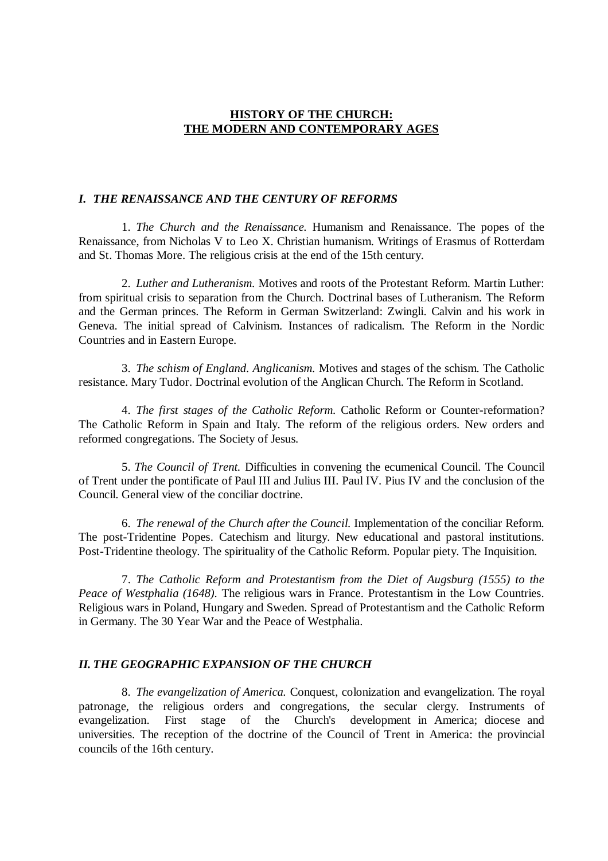### **HISTORY OF THE CHURCH: THE MODERN AND CONTEMPORARY AGES**

### *I. THE RENAISSANCE AND THE CENTURY OF REFORMS*

1. *The Church and the Renaissance.* Humanism and Renaissance. The popes of the Renaissance, from Nicholas V to Leo X. Christian humanism. Writings of Erasmus of Rotterdam and St. Thomas More. The religious crisis at the end of the 15th century.

2. *Luther and Lutheranism.* Motives and roots of the Protestant Reform. Martin Luther: from spiritual crisis to separation from the Church. Doctrinal bases of Lutheranism. The Reform and the German princes. The Reform in German Switzerland: Zwingli. Calvin and his work in Geneva. The initial spread of Calvinism. Instances of radicalism. The Reform in the Nordic Countries and in Eastern Europe.

3. *The schism of England. Anglicanism.* Motives and stages of the schism. The Catholic resistance. Mary Tudor. Doctrinal evolution of the Anglican Church. The Reform in Scotland.

4. *The first stages of the Catholic Reform.* Catholic Reform or Counter-reformation? The Catholic Reform in Spain and Italy. The reform of the religious orders. New orders and reformed congregations. The Society of Jesus.

5. *The Council of Trent.* Difficulties in convening the ecumenical Council. The Council of Trent under the pontificate of Paul III and Julius III. Paul IV. Pius IV and the conclusion of the Council. General view of the conciliar doctrine.

6. *The renewal of the Church after the Council.* Implementation of the conciliar Reform. The post-Tridentine Popes. Catechism and liturgy. New educational and pastoral institutions. Post-Tridentine theology. The spirituality of the Catholic Reform. Popular piety. The Inquisition.

7. *The Catholic Reform and Protestantism from the Diet of Augsburg (1555) to the Peace of Westphalia (1648).* The religious wars in France. Protestantism in the Low Countries. Religious wars in Poland, Hungary and Sweden. Spread of Protestantism and the Catholic Reform in Germany. The 30 Year War and the Peace of Westphalia.

#### *II. THE GEOGRAPHIC EXPANSION OF THE CHURCH*

8. *The evangelization of America.* Conquest, colonization and evangelization. The royal patronage, the religious orders and congregations, the secular clergy. Instruments of evangelization. First stage of the Church's development in America; diocese and universities. The reception of the doctrine of the Council of Trent in America: the provincial councils of the 16th century.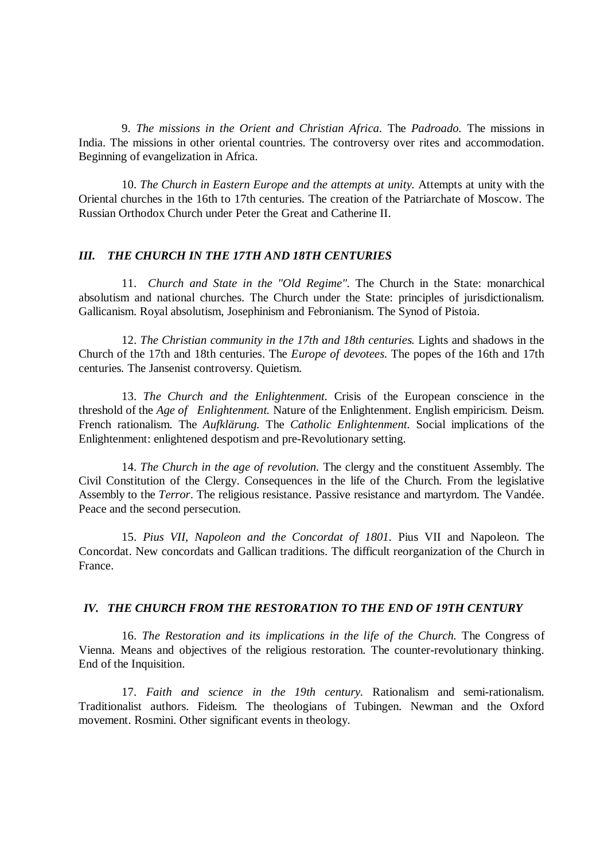9. *The missions in the Orient and Christian Africa.* The *Padroado.* The missions in India. The missions in other oriental countries. The controversy over rites and accommodation. Beginning of evangelization in Africa.

10. *The Church in Eastern Europe and the attempts at unity.* Attempts at unity with the Oriental churches in the 16th to 17th centuries. The creation of the Patriarchate of Moscow. The Russian Orthodox Church under Peter the Great and Catherine II.

### *III. THE CHURCH IN THE 17TH AND 18TH CENTURIES*

11. *Church and State in the "Old Regime".* The Church in the State: monarchical absolutism and national churches. The Church under the State: principles of jurisdictionalism. Gallicanism. Royal absolutism, Josephinism and Febronianism. The Synod of Pistoia.

12. *The Christian community in the 17th and 18th centuries.* Lights and shadows in the Church of the 17th and 18th centuries. The *Europe of devotees*. The popes of the 16th and 17th centuries. The Jansenist controversy. Quietism.

13. *The Church and the Enlightenment.* Crisis of the European conscience in the threshold of the *Age of Enlightenment.* Nature of the Enlightenment. English empiricism. Deism. French rationalism. The *Aufklärung.* The *Catholic Enlightenment.* Social implications of the Enlightenment: enlightened despotism and pre-Revolutionary setting.

14. *The Church in the age of revolution.* The clergy and the constituent Assembly. The Civil Constitution of the Clergy. Consequences in the life of the Church. From the legislative Assembly to the *Terror*. The religious resistance. Passive resistance and martyrdom. The Vandée. Peace and the second persecution.

15. *Pius VII, Napoleon and the Concordat of 1801.* Pius VII and Napoleon. The Concordat. New concordats and Gallican traditions. The difficult reorganization of the Church in France.

#### *IV. THE CHURCH FROM THE RESTORATION TO THE END OF 19TH CENTURY*

16. *The Restoration and its implications in the life of the Church.* The Congress of Vienna. Means and objectives of the religious restoration. The counter-revolutionary thinking. End of the Inquisition.

17. *Faith and science in the 19th century.* Rationalism and semi-rationalism. Traditionalist authors. Fideism. The theologians of Tubingen. Newman and the Oxford movement. Rosmini. Other significant events in theology.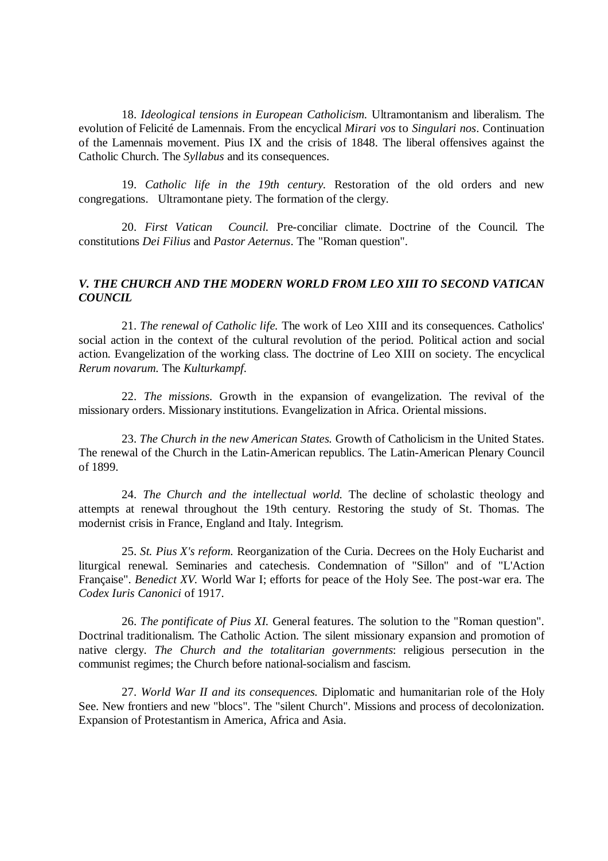18. *Ideological tensions in European Catholicism.* Ultramontanism and liberalism. The evolution of Felicité de Lamennais. From the encyclical *Mirari vos* to *Singulari nos*. Continuation of the Lamennais movement. Pius IX and the crisis of 1848. The liberal offensives against the Catholic Church. The *Syllabus* and its consequences.

19. *Catholic life in the 19th century.* Restoration of the old orders and new congregations. Ultramontane piety. The formation of the clergy.

20. *First Vatican Council.* Pre-conciliar climate. Doctrine of the Council. The constitutions *Dei Filius* and *Pastor Aeternus*. The "Roman question".

# *V. THE CHURCH AND THE MODERN WORLD FROM LEO XIII TO SECOND VATICAN COUNCIL*

21. *The renewal of Catholic life.* The work of Leo XIII and its consequences. Catholics' social action in the context of the cultural revolution of the period. Political action and social action. Evangelization of the working class. The doctrine of Leo XIII on society. The encyclical *Rerum novarum.* The *Kulturkampf.*

22. *The missions.* Growth in the expansion of evangelization. The revival of the missionary orders. Missionary institutions. Evangelization in Africa. Oriental missions.

23. *The Church in the new American States.* Growth of Catholicism in the United States. The renewal of the Church in the Latin-American republics. The Latin-American Plenary Council of 1899.

24. *The Church and the intellectual world.* The decline of scholastic theology and attempts at renewal throughout the 19th century. Restoring the study of St. Thomas. The modernist crisis in France, England and Italy. Integrism.

25. *St. Pius X's reform.* Reorganization of the Curia. Decrees on the Holy Eucharist and liturgical renewal. Seminaries and catechesis. Condemnation of "Sillon" and of "L'Action Française". *Benedict XV.* World War I; efforts for peace of the Holy See. The post-war era. The *Codex Iuris Canonici* of 1917.

26. *The pontificate of Pius XI.* General features. The solution to the "Roman question". Doctrinal traditionalism. The Catholic Action. The silent missionary expansion and promotion of native clergy. *The Church and the totalitarian governments*: religious persecution in the communist regimes; the Church before national-socialism and fascism.

27. *World War II and its consequences.* Diplomatic and humanitarian role of the Holy See. New frontiers and new "blocs". The "silent Church". Missions and process of decolonization. Expansion of Protestantism in America, Africa and Asia.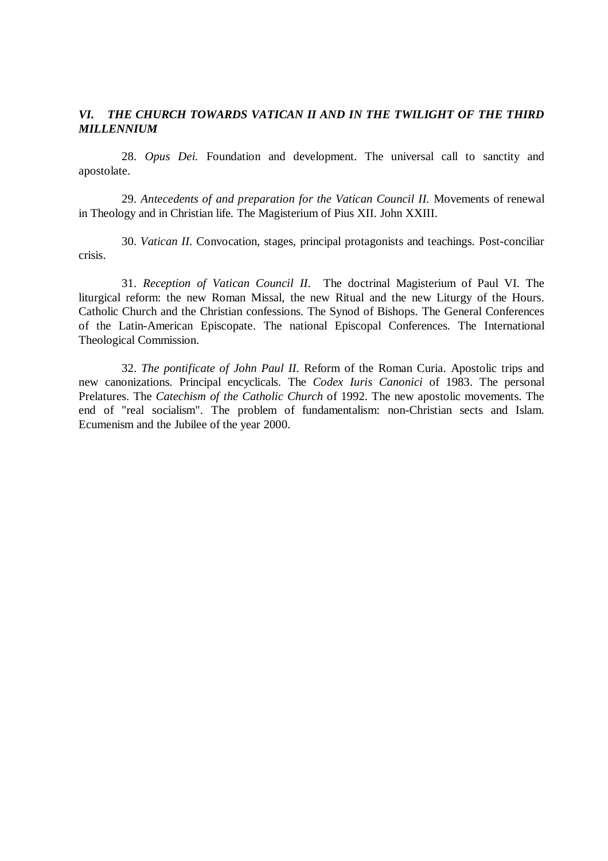## *VI. THE CHURCH TOWARDS VATICAN II AND IN THE TWILIGHT OF THE THIRD MILLENNIUM*

28. *Opus Dei.* Foundation and development. The universal call to sanctity and apostolate.

29. *Antecedents of and preparation for the Vatican Council II.* Movements of renewal in Theology and in Christian life. The Magisterium of Pius XII. John XXIII.

30. *Vatican II.* Convocation, stages, principal protagonists and teachings. Post-conciliar crisis.

31. *Reception of Vatican Council II.* The doctrinal Magisterium of Paul VI. The liturgical reform: the new Roman Missal, the new Ritual and the new Liturgy of the Hours. Catholic Church and the Christian confessions. The Synod of Bishops. The General Conferences of the Latin-American Episcopate. The national Episcopal Conferences. The International Theological Commission.

32. *The pontificate of John Paul II.* Reform of the Roman Curia. Apostolic trips and new canonizations. Principal encyclicals. The *Codex Iuris Canonici* of 1983. The personal Prelatures. The *Catechism of the Catholic Church* of 1992. The new apostolic movements. The end of "real socialism". The problem of fundamentalism: non-Christian sects and Islam. Ecumenism and the Jubilee of the year 2000.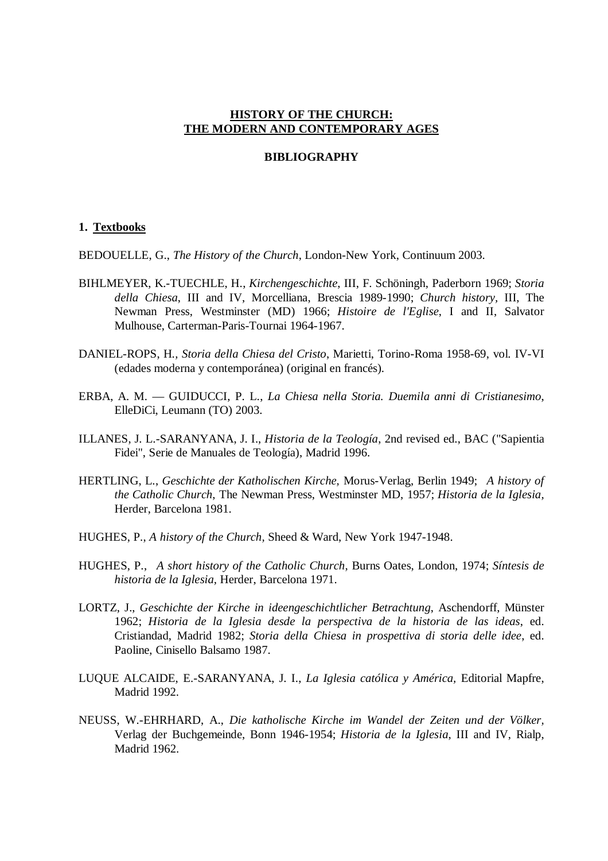#### **HISTORY OF THE CHURCH: THE MODERN AND CONTEMPORARY AGES**

#### **BIBLIOGRAPHY**

#### **1. Textbooks**

BEDOUELLE, G., *The History of the Church*, London-New York, Continuum 2003.

- BIHLMEYER, K.-TUECHLE, H., *Kirchengeschichte*, III, F. Schöningh, Paderborn 1969; *Storia della Chiesa*, III and IV, Morcelliana, Brescia 1989-1990; *Church history,* III, The Newman Press, Westminster (MD) 1966; *Histoire de l'Eglise*, I and II, Salvator Mulhouse, Carterman-Paris-Tournai 1964-1967.
- DANIEL-ROPS, H*., Storia della Chiesa del Cristo*, Marietti, Torino-Roma 1958-69, vol. IV-VI (edades moderna y contemporánea) (original en francés).
- ERBA, A. M. GUIDUCCI, P. L., *La Chiesa nella Storia. Duemila anni di Cristianesimo*, ElleDiCi, Leumann (TO) 2003.
- ILLANES, J. L.-SARANYANA, J. I., *Historia de la Teología*, 2nd revised ed., BAC ("Sapientia Fidei", Serie de Manuales de Teología), Madrid 1996.
- HERTLING, L., *Geschichte der Katholischen Kirche,* Morus-Verlag, Berlin 1949; *A history of the Catholic Church*, The Newman Press, Westminster MD, 1957; *Historia de la Iglesia,* Herder, Barcelona 1981.
- HUGHES, P., *A history of the Church,* Sheed & Ward, New York 1947-1948.
- HUGHES, P., *A short history of the Catholic Church,* Burns Oates, London, 1974; *Síntesis de historia de la Iglesia,* Herder, Barcelona 1971.
- LORTZ, J., *Geschichte der Kirche in ideengeschichtlicher Betrachtung*, Aschendorff, Münster 1962; *Historia de la Iglesia desde la perspectiva de la historia de las ideas*, ed. Cristiandad, Madrid 1982; *Storia della Chiesa in prospettiva di storia delle idee*, ed. Paoline, Cinisello Balsamo 1987.
- LUQUE ALCAIDE, E.-SARANYANA, J. I., *La Iglesia católica y América,* Editorial Mapfre, Madrid 1992.
- NEUSS, W.-EHRHARD, A., *Die katholische Kirche im Wandel der Zeiten und der Völker,*  Verlag der Buchgemeinde, Bonn 1946-1954; *Historia de la Iglesia*, III and IV, Rialp, Madrid 1962.